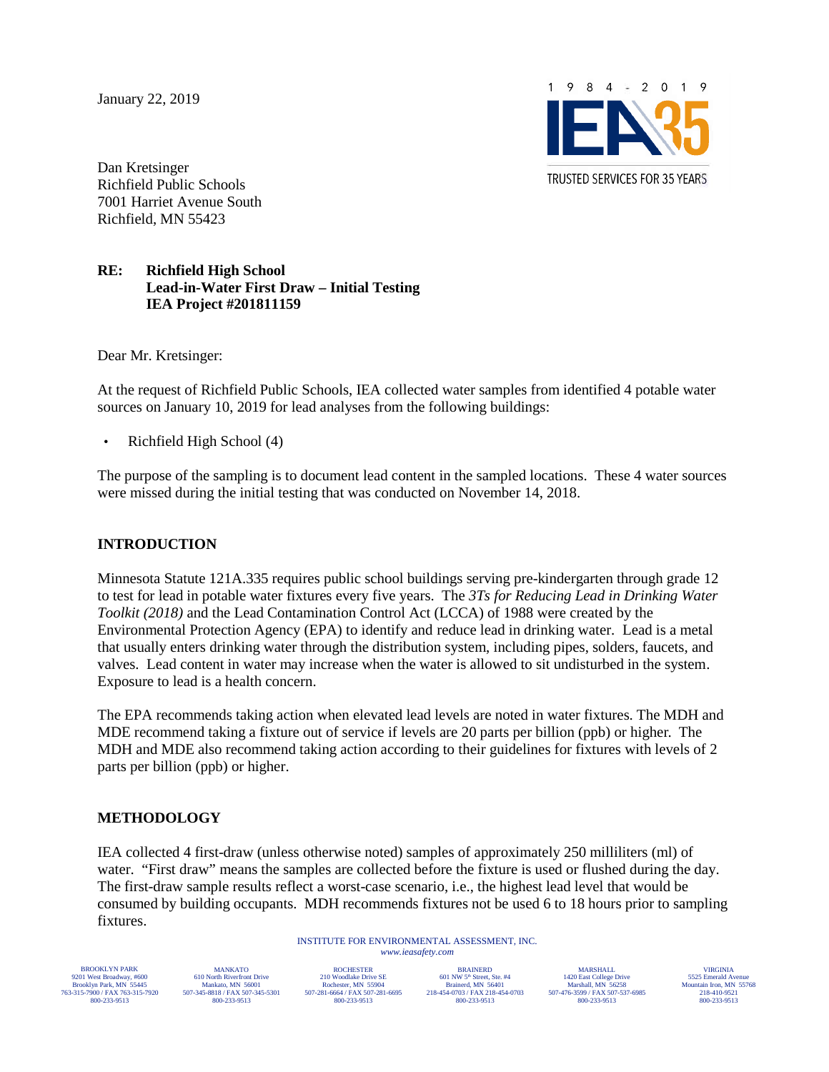January 22, 2019



Dan Kretsinger Richfield Public Schools 7001 Harriet Avenue South Richfield, MN 55423

#### **RE: Richfield High School Lead-in-Water First Draw – Initial Testing IEA Project #201811159**

Dear Mr. Kretsinger:

At the request of Richfield Public Schools, IEA collected water samples from identified 4 potable water sources on January 10, 2019 for lead analyses from the following buildings:

• Richfield High School (4)

The purpose of the sampling is to document lead content in the sampled locations. These 4 water sources were missed during the initial testing that was conducted on November 14, 2018.

#### **INTRODUCTION**

Minnesota Statute 121A.335 requires public school buildings serving pre-kindergarten through grade 12 to test for lead in potable water fixtures every five years. The *3Ts for Reducing Lead in Drinking Water Toolkit (2018)* and the Lead Contamination Control Act (LCCA) of 1988 were created by the Environmental Protection Agency (EPA) to identify and reduce lead in drinking water. Lead is a metal that usually enters drinking water through the distribution system, including pipes, solders, faucets, and valves. Lead content in water may increase when the water is allowed to sit undisturbed in the system. Exposure to lead is a health concern.

The EPA recommends taking action when elevated lead levels are noted in water fixtures. The MDH and MDE recommend taking a fixture out of service if levels are 20 parts per billion (ppb) or higher. The MDH and MDE also recommend taking action according to their guidelines for fixtures with levels of 2 parts per billion (ppb) or higher.

#### **METHODOLOGY**

IEA collected 4 first-draw (unless otherwise noted) samples of approximately 250 milliliters (ml) of water. "First draw" means the samples are collected before the fixture is used or flushed during the day. The first-draw sample results reflect a worst-case scenario, i.e., the highest lead level that would be consumed by building occupants. MDH recommends fixtures not be used 6 to 18 hours prior to sampling fixtures.

> INSTITUTE FOR ENVIRONMENTAL ASSESSMENT, INC. *<www.ieasafety.com>*

BROOKLYN PARK 9201 West Broadway, #600 Brooklyn Park, MN 55445 763-315-7900 / FAX 763-315-7920 800-233-9513

MANKATO 610 North Riverfront Drive Mankato, MN 56001 507-345-8818 / FAX 507-345-5301 800-233-9513

**ROCHESTER** 210 Woodlake Drive SE Rochester, MN 55904 507-281-6664 / FAX 507-281-6695 800-233-9513

BRAINERD  $601$  NW  $5<sup>th</sup>$  Street, Ste. #4 Brainerd, MN 56401 218-454-0703 / FAX 218-454-0703 800-233-9513

MARSHALL 1420 East College Drive Marshall, MN 56258 507-476-3599 / FAX 507-537-6985 800-233-9513

VIRGINIA 5525 Emerald Ave Mountain Iron, MN 55768 218-410-9521 800-233-9513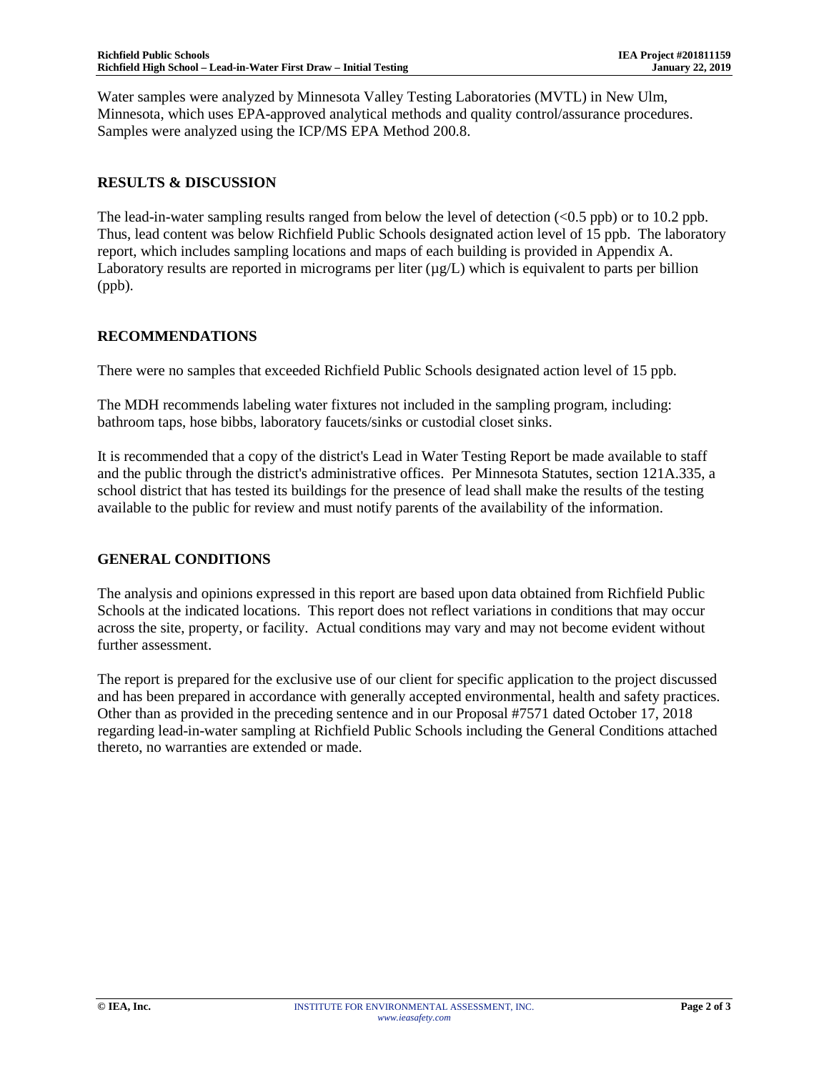Water samples were analyzed by Minnesota Valley Testing Laboratories (MVTL) in New Ulm, Minnesota, which uses EPA-approved analytical methods and quality control/assurance procedures. Samples were analyzed using the ICP/MS EPA Method 200.8.

#### **RESULTS & DISCUSSION**

The lead-in-water sampling results ranged from below the level of detection (<0.5 ppb) or to 10.2 ppb. Thus, lead content was below Richfield Public Schools designated action level of 15 ppb. The laboratory report, which includes sampling locations and maps of each building is provided in Appendix A. Laboratory results are reported in micrograms per liter  $(\mu g/L)$  which is equivalent to parts per billion (ppb).

#### **RECOMMENDATIONS**

There were no samples that exceeded Richfield Public Schools designated action level of 15 ppb.

The MDH recommends labeling water fixtures not included in the sampling program, including: bathroom taps, hose bibbs, laboratory faucets/sinks or custodial closet sinks.

It is recommended that a copy of the district's Lead in Water Testing Report be made available to staff and the public through the district's administrative offices. Per Minnesota Statutes, section 121A.335, a school district that has tested its buildings for the presence of lead shall make the results of the testing available to the public for review and must notify parents of the availability of the information.

### **GENERAL CONDITIONS**

The analysis and opinions expressed in this report are based upon data obtained from Richfield Public Schools at the indicated locations. This report does not reflect variations in conditions that may occur across the site, property, or facility. Actual conditions may vary and may not become evident without further assessment.

The report is prepared for the exclusive use of our client for specific application to the project discussed and has been prepared in accordance with generally accepted environmental, health and safety practices. Other than as provided in the preceding sentence and in our Proposal #7571 dated October 17, 2018 regarding lead-in-water sampling at Richfield Public Schools including the General Conditions attached thereto, no warranties are extended or made.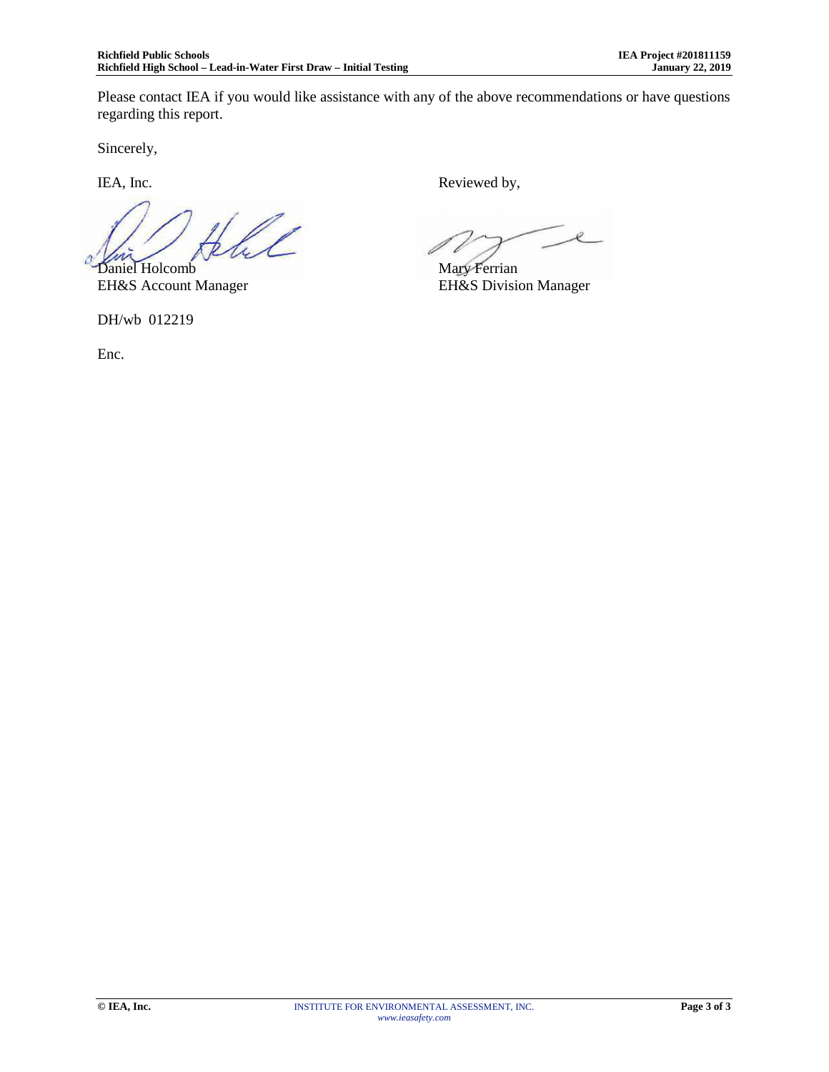Please contact IEA if you would like assistance with any of the above recommendations or have questions regarding this report.

Sincerely,

f 1 Daniel Holcomb Mary Ferrian

EH&S Account Manager EH&S Division Manager

DH/wb 012219

Enc.

IEA, Inc. Reviewed by,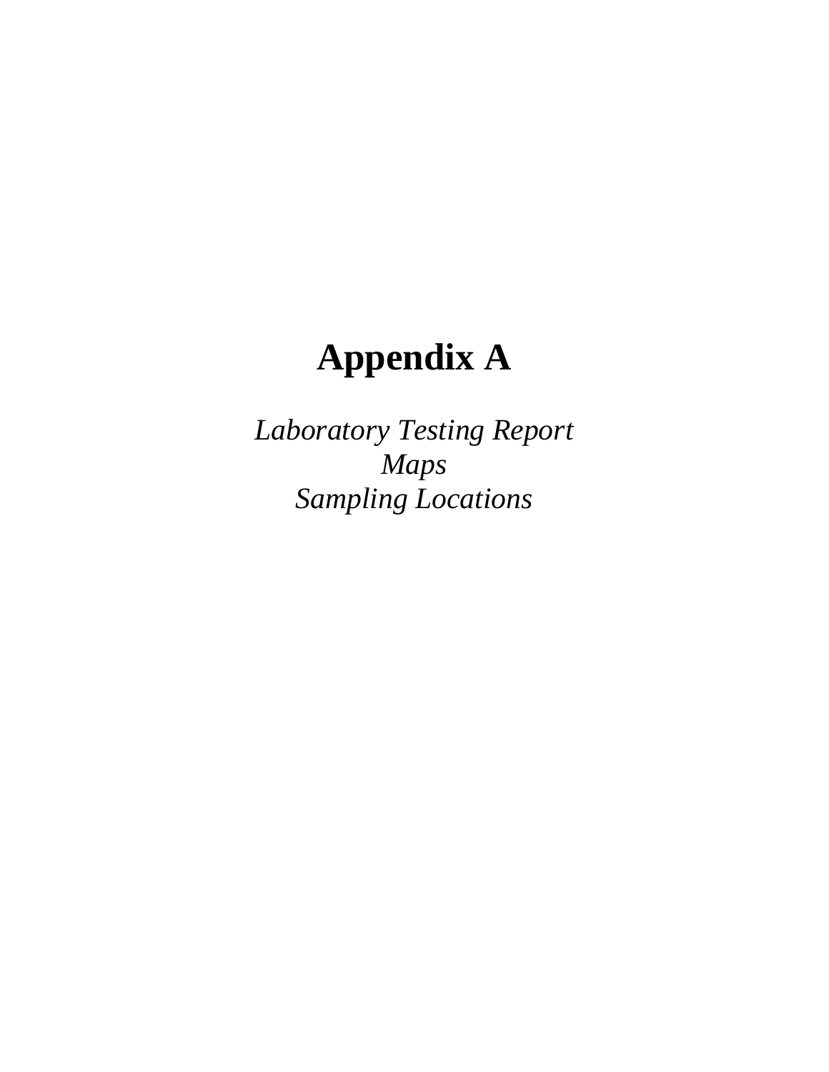# **Appendix A**

*Laboratory Testing Report Maps Sampling Locations*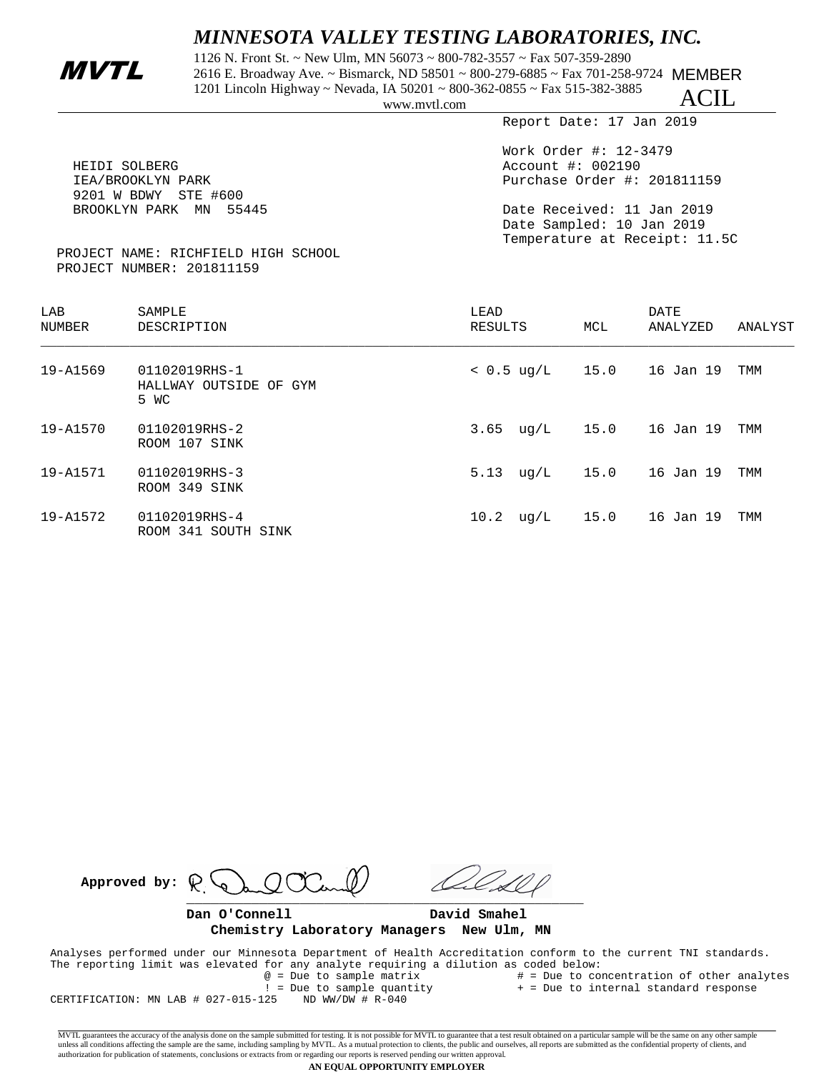## *MINNESOTA VALLEY TESTING LABORATORIES, INC.*

1126 N. Front St. ~ New Ulm, MN 56073 ~ 800-782-3557 ~ Fax 507-359-2890<br>2616 E. Broadway Ave. ~ Bismarck, ND 58501 ~ 800-279-6885 ~ Fax 701-258-9724 MEMBER 1201 Lincoln Highway ~ Nevada, IA 50201 ~ 800-362-0855 ~ Fax 515-382-3885

ACIL

Report Date: 17 Jan 2019

| HEIDI SOLBERG<br>IEA/BROOKLYN PARK                               | Work Order #: $12-3479$<br>Account #: 002190<br>Purchase Order #: 201811159              |
|------------------------------------------------------------------|------------------------------------------------------------------------------------------|
| 9201 W BDWY STE #600<br>BROOKLYN PARK MN 55445                   | Date Received: 11 Jan 2019<br>Date Sampled: 10 Jan 2019<br>Temperature at Receipt: 11.5C |
| PROJECT NAME: RICHFIELD HIGH SCHOOL<br>PROJECT NUMBER: 201811159 |                                                                                          |

| LAB<br>NUMBER | SAMPLE<br>DESCRIPTION                           | LEAD<br>RESULTS      | MCL  | <b>DATE</b><br>ANALYZED | ANALYST |
|---------------|-------------------------------------------------|----------------------|------|-------------------------|---------|
| 19-A1569      | 01102019RHS-1<br>HALLWAY OUTSIDE OF GYM<br>5 WC | $< 0.5 \text{ uq/L}$ | 15.0 | 16 Jan 19               | TMM     |
| 19-A1570      | 01102019RHS-2<br>ROOM 107 SINK                  | $3.65 \text{ uq/L}$  | 15.0 | 16 Jan 19               | TMM     |
| 19-A1571      | 01102019RHS-3<br>ROOM 349 SINK                  | 5.13<br>uq/L         | 15.0 | 16 Jan 19               | TMM     |
| 19-A1572      | 01102019RHS-4<br>ROOM 341 SOUTH SINK            | 10.2<br>uq/L         | 15.0 | 16 Jan 19               | TMM     |

Approved by:  $\mathbb{R}^6$  $\frac{1}{2}$ 

**Dan O'Connell David Smahel Chemistry Laboratory Managers New Ulm, MN**

 Analyses performed under our Minnesota Department of Health Accreditation conform to the current TNI standards. The reporting limit was elevated for any analyte requiring a dilution as coded below:<br>  $@ = \text{Due to sample matrix}$  # = Due to co # = Due to concentration of other analytes

 $! = Due to sample quantity + = Due to internal standard response  
25 ND WW/DW # R-040$ CERTIFICATION: MN LAB  $#$  027-015-125

MVTL guarantees the accuracy of the analysis done on the sample submitted for testing. It is not possible for MVTL to guarantee that a test result obtained on a particular sample will be the same on any other sample unless all conditions affecting the sample are the same, including sampling by MVTL. As a mutual protection to clients, the public and ourselves, all reports are submitted as the confidential property of clients, and<br>autho

#### **AN EQUAL OPPORTUNITY EMPLOYER**